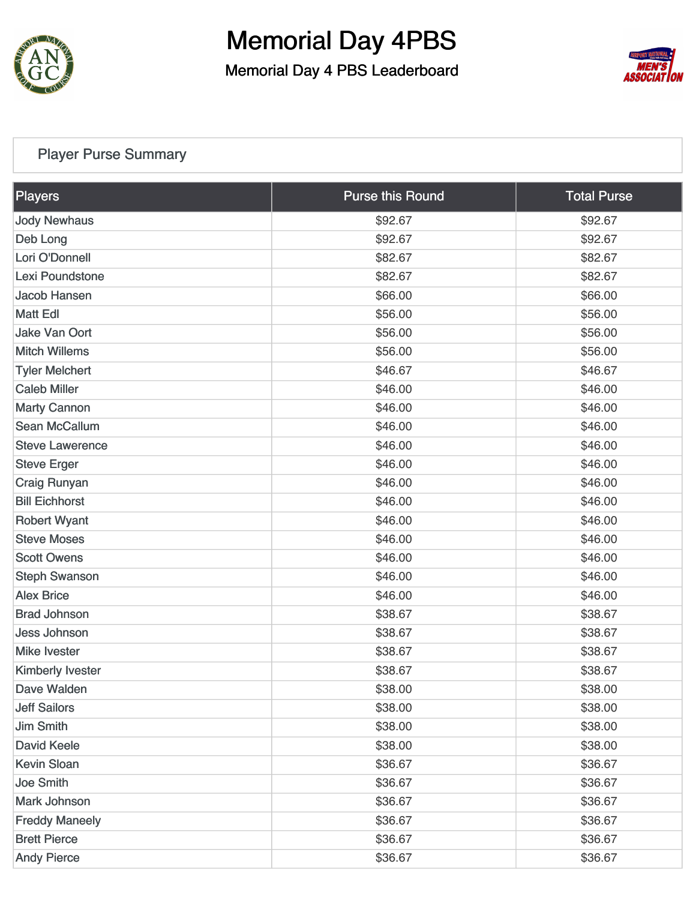

Memorial Day 4 PBS Leaderboard



#### [Player Purse Summary](https://static.golfgenius.com/v2tournaments/total_purse?league_id=8506129079680926686&round_id=8506301265859347311)

| <b>Players</b>         | <b>Purse this Round</b> | <b>Total Purse</b> |
|------------------------|-------------------------|--------------------|
| <b>Jody Newhaus</b>    | \$92.67                 | \$92.67            |
| Deb Long               | \$92.67                 | \$92.67            |
| Lori O'Donnell         | \$82.67                 | \$82.67            |
| Lexi Poundstone        | \$82.67                 | \$82.67            |
| Jacob Hansen           | \$66.00                 | \$66.00            |
| <b>Matt Edl</b>        | \$56.00                 | \$56.00            |
| <b>Jake Van Oort</b>   | \$56.00                 | \$56.00            |
| <b>Mitch Willems</b>   | \$56.00                 | \$56.00            |
| <b>Tyler Melchert</b>  | \$46.67                 | \$46.67            |
| <b>Caleb Miller</b>    | \$46.00                 | \$46.00            |
| <b>Marty Cannon</b>    | \$46.00                 | \$46.00            |
| <b>Sean McCallum</b>   | \$46.00                 | \$46.00            |
| <b>Steve Lawerence</b> | \$46.00                 | \$46.00            |
| <b>Steve Erger</b>     | \$46.00                 | \$46.00            |
| <b>Craig Runyan</b>    | \$46.00                 | \$46.00            |
| <b>Bill Eichhorst</b>  | \$46.00                 | \$46.00            |
| <b>Robert Wyant</b>    | \$46.00                 | \$46.00            |
| <b>Steve Moses</b>     | \$46.00                 | \$46.00            |
| <b>Scott Owens</b>     | \$46.00                 | \$46.00            |
| <b>Steph Swanson</b>   | \$46.00                 | \$46.00            |
| <b>Alex Brice</b>      | \$46.00                 | \$46.00            |
| <b>Brad Johnson</b>    | \$38.67                 | \$38.67            |
| <b>Jess Johnson</b>    | \$38.67                 | \$38.67            |
| <b>Mike Ivester</b>    | \$38.67                 | \$38.67            |
| Kimberly Ivester       | \$38.67                 | \$38.67            |
| Dave Walden            | \$38.00                 | \$38.00            |
| <b>Jeff Sailors</b>    | \$38.00                 | \$38.00            |
| <b>Jim Smith</b>       | \$38.00                 | \$38.00            |
| <b>David Keele</b>     | \$38.00                 | \$38.00            |
| <b>Kevin Sloan</b>     | \$36.67                 | \$36.67            |
| <b>Joe Smith</b>       | \$36.67                 | \$36.67            |
| Mark Johnson           | \$36.67                 | \$36.67            |
| <b>Freddy Maneely</b>  | \$36.67                 | \$36.67            |
| <b>Brett Pierce</b>    | \$36.67                 | \$36.67            |
| <b>Andy Pierce</b>     | \$36.67                 | \$36.67            |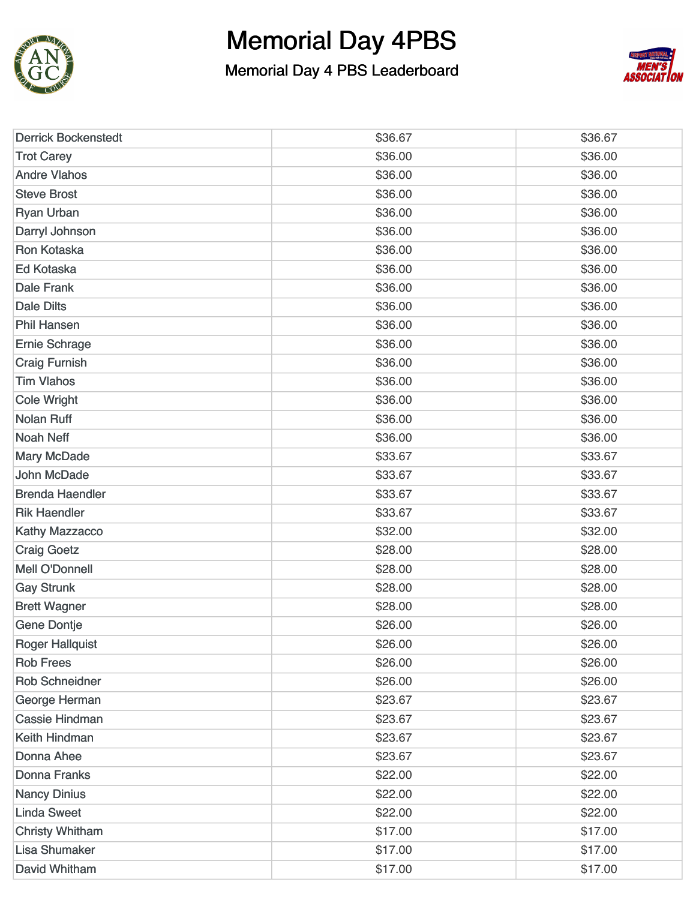



| <b>Derrick Bockenstedt</b> | \$36.67 | \$36.67 |
|----------------------------|---------|---------|
| <b>Trot Carey</b>          | \$36.00 | \$36.00 |
| <b>Andre Vlahos</b>        | \$36.00 | \$36.00 |
| <b>Steve Brost</b>         | \$36.00 | \$36.00 |
| <b>Ryan Urban</b>          | \$36.00 | \$36.00 |
| Darryl Johnson             | \$36.00 | \$36.00 |
| <b>Ron Kotaska</b>         | \$36.00 | \$36.00 |
| Ed Kotaska                 | \$36.00 | \$36.00 |
| <b>Dale Frank</b>          | \$36.00 | \$36.00 |
| <b>Dale Dilts</b>          | \$36.00 | \$36.00 |
| <b>Phil Hansen</b>         | \$36.00 | \$36.00 |
| <b>Ernie Schrage</b>       | \$36.00 | \$36.00 |
| <b>Craig Furnish</b>       | \$36.00 | \$36.00 |
| <b>Tim Vlahos</b>          | \$36.00 | \$36.00 |
| Cole Wright                | \$36.00 | \$36.00 |
| <b>Nolan Ruff</b>          | \$36.00 | \$36.00 |
| <b>Noah Neff</b>           | \$36.00 | \$36.00 |
| <b>Mary McDade</b>         | \$33.67 | \$33.67 |
| John McDade                | \$33.67 | \$33.67 |
| <b>Brenda Haendler</b>     | \$33.67 | \$33.67 |
| <b>Rik Haendler</b>        | \$33.67 | \$33.67 |
| <b>Kathy Mazzacco</b>      | \$32.00 | \$32.00 |
| <b>Craig Goetz</b>         | \$28.00 | \$28.00 |
| <b>Mell O'Donnell</b>      | \$28.00 | \$28.00 |
| <b>Gay Strunk</b>          | \$28.00 | \$28.00 |
| <b>Brett Wagner</b>        | \$28.00 | \$28.00 |
| <b>Gene Dontje</b>         | \$26.00 | \$26.00 |
| <b>Roger Hallquist</b>     | \$26.00 | \$26.00 |
| <b>Rob Frees</b>           | \$26.00 | \$26.00 |
| <b>Rob Schneidner</b>      | \$26.00 | \$26.00 |
| George Herman              | \$23.67 | \$23.67 |
| <b>Cassie Hindman</b>      | \$23.67 | \$23.67 |
| Keith Hindman              | \$23.67 | \$23.67 |
| Donna Ahee                 | \$23.67 | \$23.67 |
| <b>Donna Franks</b>        | \$22.00 | \$22.00 |
| <b>Nancy Dinius</b>        | \$22.00 | \$22.00 |
| <b>Linda Sweet</b>         | \$22.00 | \$22.00 |
| <b>Christy Whitham</b>     | \$17.00 | \$17.00 |
| <b>Lisa Shumaker</b>       | \$17.00 | \$17.00 |
| David Whitham              | \$17.00 | \$17.00 |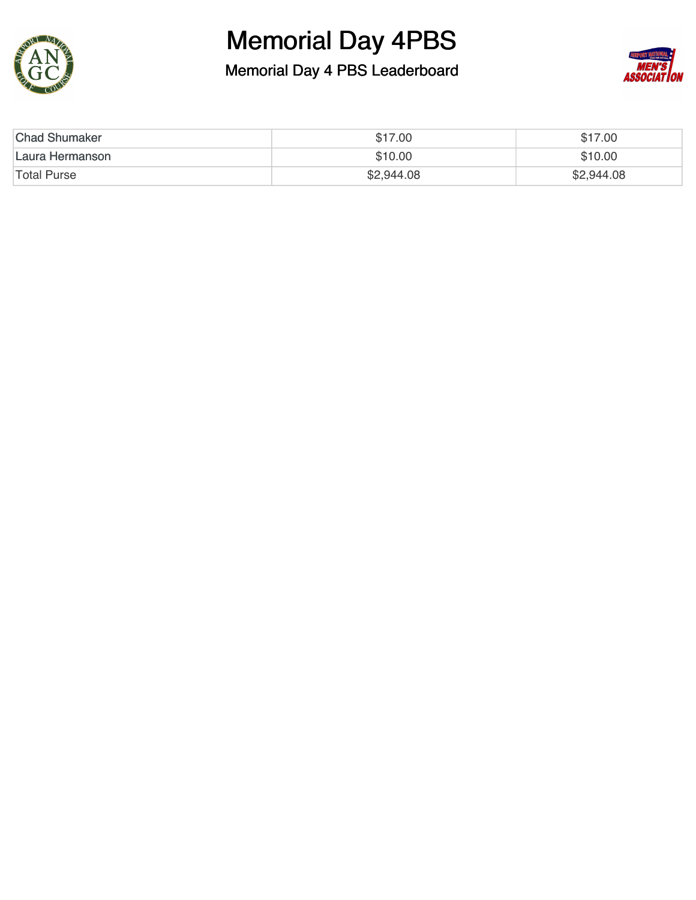



| <b>Chad Shumaker</b> | \$17.00    | \$17.00    |
|----------------------|------------|------------|
| Laura Hermanson      | \$10.00    | \$10.00    |
| <b>Total Purse</b>   | \$2,944.08 | \$2,944.08 |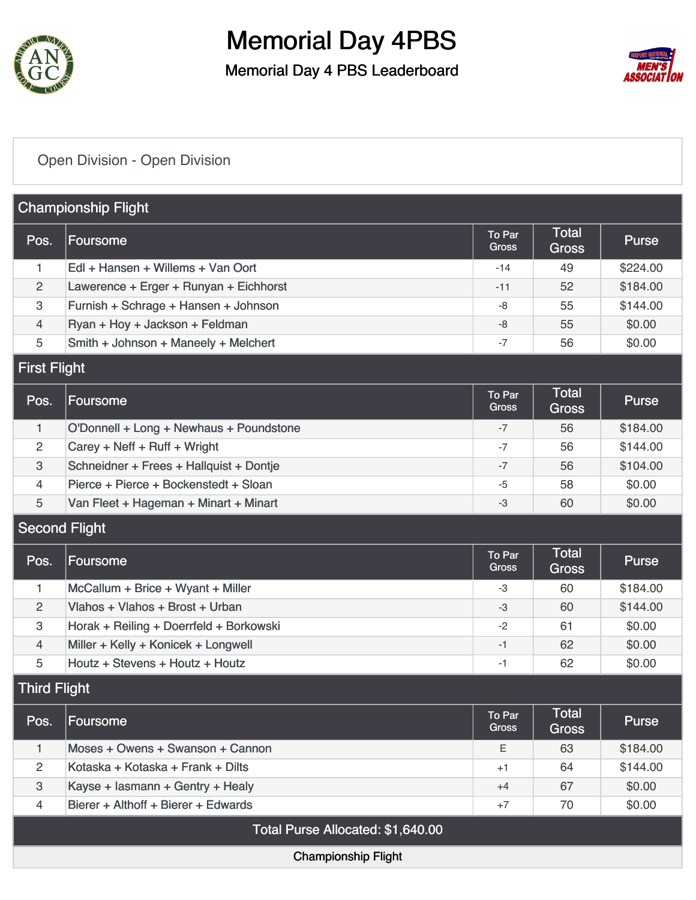

Memorial Day 4 PBS Leaderboard



#### [Open Division - Open Division](https://static.golfgenius.com/v2tournaments/8506368879751103299?called_from=&round_index=1)

|                      | <b>Championship Flight</b>              |                        |                              |              |
|----------------------|-----------------------------------------|------------------------|------------------------------|--------------|
| Pos.                 | Foursome                                | To Par<br><b>Gross</b> | Total<br><b>Gross</b>        | <b>Purse</b> |
| 1                    | Edl + Hansen + Willems + Van Oort       | $-14$                  | 49                           | \$224.00     |
| 2                    | Lawerence + Erger + Runyan + Eichhorst  | $-11$                  | 52                           | \$184.00     |
| 3                    | Furnish + Schrage + Hansen + Johnson    | -8                     | 55                           | \$144.00     |
| $\overline{4}$       | Ryan + Hoy + Jackson + Feldman          | $-8$                   | 55                           | \$0.00       |
| 5                    | Smith + Johnson + Maneely + Melchert    | $-7$                   | 56                           | \$0.00       |
| <b>First Flight</b>  |                                         |                        |                              |              |
| Pos.                 | Foursome                                | To Par<br><b>Gross</b> | Total<br><b>Gross</b>        | <b>Purse</b> |
| $\mathbf{1}$         | O'Donnell + Long + Newhaus + Poundstone | $-7$                   | 56                           | \$184.00     |
| 2                    | Carey + Neff + Ruff + Wright            | $-7$                   | 56                           | \$144.00     |
| 3                    | Schneidner + Frees + Hallquist + Dontje | $-7$                   | 56                           | \$104.00     |
| 4                    | Pierce + Pierce + Bockenstedt + Sloan   | $-5$                   | 58                           | \$0.00       |
| 5                    | Van Fleet + Hageman + Minart + Minart   | -3                     | 60                           | \$0.00       |
| <b>Second Flight</b> |                                         |                        |                              |              |
| Pos.                 | Foursome                                | To Par<br><b>Gross</b> | Total<br><b>Gross</b>        | <b>Purse</b> |
| 1                    | McCallum + Brice + Wyant + Miller       | -3                     | 60                           | \$184.00     |
| 2                    | Vlahos + Vlahos + Brost + Urban         | $-3$                   | 60                           | \$144.00     |
| 3                    | Horak + Reiling + Doerrfeld + Borkowski | $-2$                   | 61                           | \$0.00       |
| $\overline{4}$       | Miller + Kelly + Konicek + Longwell     | $-1$                   | 62                           | \$0.00       |
| 5                    | Houtz + Stevens + Houtz + Houtz         | $-1$                   | 62                           | \$0.00       |
| <b>Third Flight</b>  |                                         |                        |                              |              |
| Pos.                 | Foursome                                | To Par<br>Gross        | <b>Total</b><br><b>Gross</b> | <b>Purse</b> |
| $\mathbf{1}$         | Moses + Owens + Swanson + Cannon        | E                      | 63                           | \$184.00     |
| $\overline{c}$       | Kotaska + Kotaska + Frank + Dilts       | $+1$                   | 64                           | \$144.00     |
| 3                    | Kayse + lasmann + Gentry + Healy        | $+4$                   | 67                           | \$0.00       |
| 4                    | Bierer + Althoff + Bierer + Edwards     | $+7$                   | 70                           | \$0.00       |
|                      | Total Purse Allocated: \$1,640.00       |                        |                              |              |
|                      | <b>Championship Flight</b>              |                        |                              |              |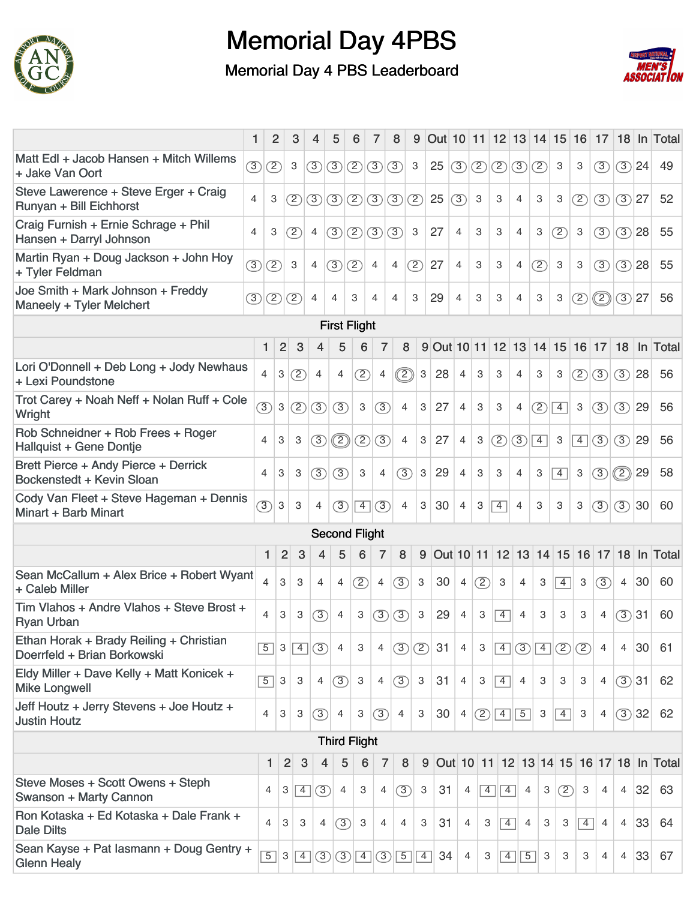



|                                                                        | 1              | $\overline{2}$            | 3                   | 4                      | 5              | 6                         | 7                            | 8                        | 9              |                                  | Out 10 11 12 13 14 15 16 17 |                |                |                |                |                |                |                |                |          | 18 In Total                             |
|------------------------------------------------------------------------|----------------|---------------------------|---------------------|------------------------|----------------|---------------------------|------------------------------|--------------------------|----------------|----------------------------------|-----------------------------|----------------|----------------|----------------|----------------|----------------|----------------|----------------|----------------|----------|-----------------------------------------|
| Matt Edl + Jacob Hansen + Mitch Willems<br>+ Jake Van Oort             | (3)            | $\circled{2}$             | 3                   | $\circled{3}$          | $\circled{3}$  | $\circled{2}$             | $\circled{3}$                | (3)                      | 3              | 25                               | $\circ$                     | $\circled{2}$  | (2)            | $\circled{3}$  | (2)            | 3              | 3              | (3)            |                | $(3)$ 24 | 49                                      |
| Steve Lawerence + Steve Erger + Craig<br>Runyan + Bill Eichhorst       | $\overline{4}$ | 3                         | (2)                 | (3)                    | $\circled{3}$  | $\circled{2}$             | $\circled{3}$                |                          | (2)            | 25                               | (3)                         | 3              | 3              | 4              | 3              | З              | ⊘              | (3)            | $(3)$ 27       |          | 52                                      |
| Craig Furnish + Ernie Schrage + Phil<br>Hansen + Darryl Johnson        | $\overline{4}$ | 3                         | (2)                 | 4                      | (3)            | $\circled{2}$             | $\circled{3}$                | (3)                      | 3              | 27                               | 4                           | 3              | 3              | 4              | 3              | (2)            | $\mathbf{3}$   | (3)            | (3)            | 28       | 55                                      |
| Martin Ryan + Doug Jackson + John Hoy<br>+ Tyler Feldman               | (3)            | (2)                       | 3                   | 4                      | (3)            | (2)                       | $\overline{4}$               | 4                        | (2)            | 27                               | 4                           | 3              | 3              | 4              | (2)            | 3              | 3              | (3)            | (3)            | 28       | 55                                      |
| Joe Smith + Mark Johnson + Freddy<br>Maneely + Tyler Melchert          | $\circled{3}$  | $\circled{2}$             | (2)                 | 4                      | 4              | 3                         | $\overline{4}$               | $\overline{\mathcal{A}}$ | 3              | 29                               | 4                           | 3              | 3              | 4              | 3              | 3              | (2)            | $\circled{2}$  |                | $(3)$ 27 | 56                                      |
|                                                                        |                |                           |                     |                        |                | <b>First Flight</b>       |                              |                          |                |                                  |                             |                |                |                |                |                |                |                |                |          |                                         |
|                                                                        | 1              | $\overline{2}$            | 3                   | 4                      | 5              |                           | 6<br>7                       |                          | 8              | 9 Out 10 11 12 13 14 15 16 17 18 |                             |                |                |                |                |                |                |                |                |          | In Total                                |
| Lori O'Donnell + Deb Long + Jody Newhaus<br>+ Lexi Poundstone          | 4              | 3                         | (2)                 | $\overline{4}$         | 4              | (2)                       | 4                            | ②                        |                | 3<br>28                          | $\overline{4}$              | 3              | 3              | 4              | 3              | 3              | (2)            | (3)            | (3)            | 28       | 56                                      |
| Trot Carey + Noah Neff + Nolan Ruff + Cole<br>Wright                   | $\circled{3}$  | $\mathbf{3}$              | $\circled{2}$       | $\circled{3}$          | (3)            | 3                         | $\circled{3}$                |                          | $\overline{4}$ | 3<br>27                          | 4                           | 3              | 3              | 4              | $\circled{2}$  | $\overline{4}$ | $\mathbf{3}$   | $\circled{3}$  | (3)            | 29       | 56                                      |
| Rob Schneidner + Rob Frees + Roger<br>Hallquist + Gene Dontje          | 4              | 3                         | 3                   | (3)                    | $\circled{2}$  | $\circled{2}$             | $\circled{3}$                |                          | 4              | 3<br>27                          | 4                           | 3              | $\circled{2}$  | (3)            | $\overline{4}$ | 3              | $\overline{4}$ | (3)            | (3)            | 29       | 56                                      |
| Brett Pierce + Andy Pierce + Derrick<br>Bockenstedt + Kevin Sloan      | 4              | 3                         | 3                   | (3)                    | (3)            | 3                         | 4                            | (3)                      |                | 29<br>$\mathbf{3}$               | $\overline{4}$              | 3              | 3              | 4              | 3              | $\overline{4}$ | 3              | (3)            | $\circled{2}$  | 29       | 58                                      |
| Cody Van Fleet + Steve Hageman + Dennis<br>Minart + Barb Minart        | $\circled{3}$  | $\mathbf{3}$              | 3                   | $\overline{4}$         | (3)            | $\overline{4}$            | $\circled{3}$                | $\overline{4}$           |                | 3<br>30                          | 4                           | 3              | $\overline{4}$ | 4              | 3              | 3              | 3              | (3)            | (3)            | 30       | 60                                      |
|                                                                        |                |                           |                     |                        |                |                           | <b>Second Flight</b>         |                          |                |                                  |                             |                |                |                |                |                |                |                |                |          |                                         |
|                                                                        | 1              |                           | $\overline{2}$<br>3 | 4                      | 5              | 6                         | $\overline{7}$               | 8                        | 9              |                                  |                             |                |                |                |                |                |                |                |                |          | Out 10 11 12 13 14 15 16 17 18 In Total |
| Sean McCallum + Alex Brice + Robert Wyant<br>+ Caleb Miller            | 4              | 3                         | 3                   | 4                      | 4              | (2)                       | 4                            | (3)                      | 3              | 30                               | $\overline{4}$              | (2)            | 3              | 4              | 3              | $\overline{4}$ | 3              | (3)            | 4              | 30       | 60                                      |
| Tim Vlahos + Andre Vlahos + Steve Brost +<br><b>Ryan Urban</b>         | 4              | 3                         | 3                   | 3                      | 4              | 3                         | (3)                          | (3)                      | 3              | 29                               | 4                           | 3              | $\overline{4}$ | 4              | 3              | 3              | 3              | $\overline{4}$ | (3)            | 31       | 60                                      |
| Ethan Horak + Brady Reiling + Christian<br>Doerrfeld + Brian Borkowski | $\overline{5}$ | 3                         | $\sqrt{4}$          | (3)                    | $\overline{4}$ | 3                         | 4                            | (3)                      | (2)            | 31                               | 4                           | 3              | $\boxed{4}$    | $\circled{3}$  | $\boxed{4}$    | $\circled{2}$  | (2)            | 4              | 4              | 30       | 61                                      |
| Eldy Miller + Dave Kelly + Matt Konicek +<br><b>Mike Longwell</b>      | $\overline{5}$ | $\ensuremath{\mathsf{3}}$ | 3                   | 4                      | (3)            | $\ensuremath{\mathsf{3}}$ | 4                            | (3)                      | 3              | 31                               | 4                           | 3              | $\overline{4}$ | $\overline{4}$ | 3              | 3              | 3              | $\overline{4}$ |                | (3)31    | 62                                      |
| Jeff Houtz + Jerry Stevens + Joe Houtz +<br><b>Justin Houtz</b>        | 4              | 3                         | З                   | (3)                    | $\overline{4}$ | 3                         | (3)                          | $\overline{4}$           | 3              | 30                               | 4                           |                | $(2)\sqrt{4}$  | $\boxed{5}$    | 3              | $\overline{4}$ | 3              | 4              |                | (3)32    | 62                                      |
|                                                                        |                |                           |                     |                        |                | <b>Third Flight</b>       |                              |                          |                |                                  |                             |                |                |                |                |                |                |                |                |          |                                         |
|                                                                        |                | 1                         | $\overline{2}$      | 3                      | 4              | 5                         | 6                            | 7                        | 8              | 9                                |                             |                |                |                |                |                |                |                |                |          | Out 10 11 12 13 14 15 16 17 18 In Total |
| Steve Moses + Scott Owens + Steph<br>Swanson + Marty Cannon            |                | 4                         | 3                   | (3)<br>$\vert 4 \vert$ |                | $\overline{4}$            | 3<br>4                       | (3)                      |                | 3<br>31                          | 4                           | $\overline{4}$ | $\overline{4}$ | 4              | 3              | (2)            | 3              | 4              | $\overline{4}$ | 32       | 63                                      |
| Ron Kotaska + Ed Kotaska + Dale Frank +<br><b>Dale Dilts</b>           |                | $\overline{4}$            | 3                   | 3<br>4                 |                | $\circled{3}$             | 3<br>4                       | 4                        |                | 31<br>3                          | 4                           | 3              | $\overline{4}$ | $\overline{4}$ | 3              | 3              | $\overline{4}$ | $\overline{4}$ | $\overline{4}$ | 33       | 64                                      |
| Sean Kayse + Pat lasmann + Doug Gentry +<br><b>Glenn Healy</b>         |                | $\overline{5}$            | 3                   | (3)<br>$\vert 4 \vert$ | $\circled{3}$  |                           | $\circled{3}$<br>$\boxed{4}$ | $\boxed{5}$              |                | 34<br>$\overline{4}$             | 4                           | 3              | $\overline{4}$ | $\overline{5}$ | 3              | 3              | 3              | 4              | 4              | 33       | 67                                      |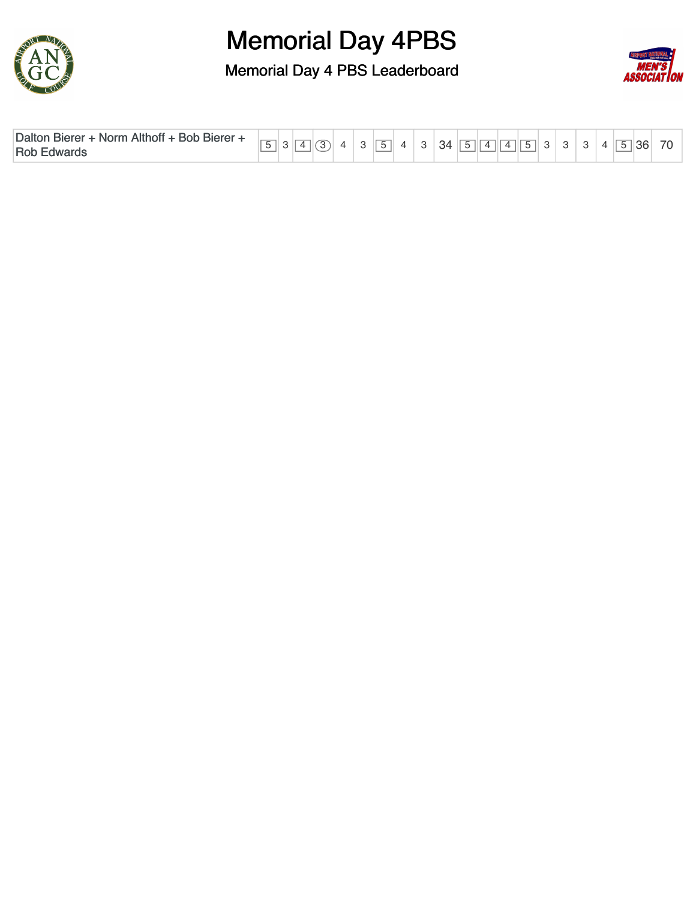



| <b>Daltor</b><br>$\sim$<br>Althofi<br><b>Bob</b><br><b>Bierer</b><br>. Bierer<br>∴Norm<br>Rob<br>dwar |  |  |  |  |  | $\overline{\phantom{0}}$ |  |  | 34 |  | $\sqrt{ }$ | $\sqrt{1}$ |  |  |  |  |  | 36 |  | 70 |
|-------------------------------------------------------------------------------------------------------|--|--|--|--|--|--------------------------|--|--|----|--|------------|------------|--|--|--|--|--|----|--|----|
|-------------------------------------------------------------------------------------------------------|--|--|--|--|--|--------------------------|--|--|----|--|------------|------------|--|--|--|--|--|----|--|----|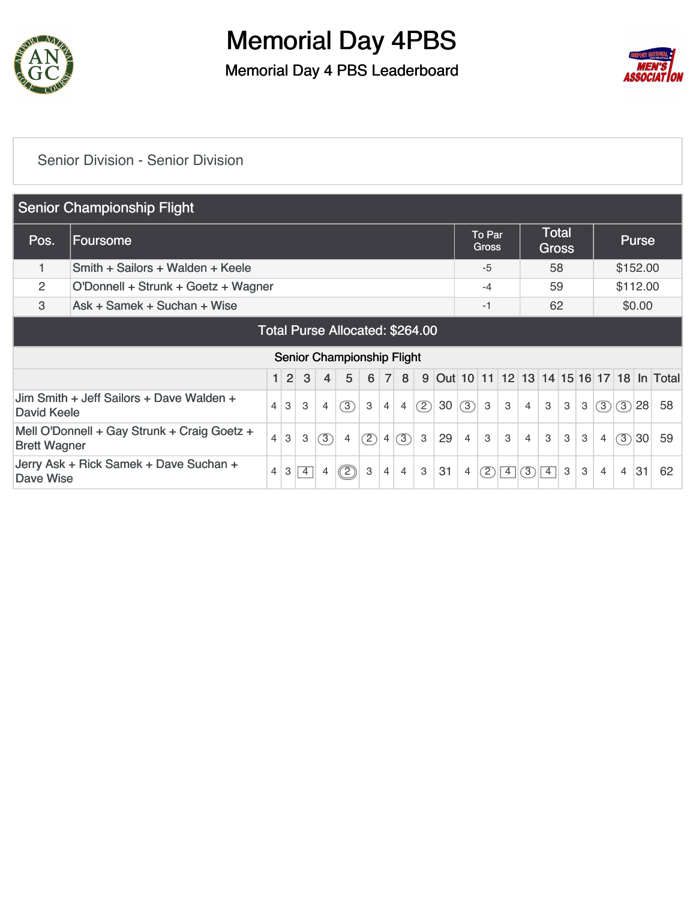

Memorial Day 4 PBS Leaderboard



#### [Senior Division - Senior Division](https://static.golfgenius.com/v2tournaments/8506369964029018948?called_from=&round_index=1)

|                     | <b>Senior Championship Flight</b>           |                            |                |   |                |                |     |                |                |     |           |                |                        |   |   |                              |   |   |                |     |              |                                               |
|---------------------|---------------------------------------------|----------------------------|----------------|---|----------------|----------------|-----|----------------|----------------|-----|-----------|----------------|------------------------|---|---|------------------------------|---|---|----------------|-----|--------------|-----------------------------------------------|
| Pos.                | Foursome                                    |                            |                |   |                |                |     |                |                |     |           |                | To Par<br><b>Gross</b> |   |   | <b>Total</b><br><b>Gross</b> |   |   |                |     | <b>Purse</b> |                                               |
| 1                   | Smith + Sailors + Walden + Keele            |                            |                |   |                |                |     |                |                |     |           |                | $-5$                   |   |   | 58                           |   |   |                |     | \$152.00     |                                               |
| 2                   | O'Donnell + Strunk + Goetz + Wagner         |                            |                |   |                |                |     |                |                |     |           |                |                        |   |   | 59                           |   |   |                |     | \$112.00     |                                               |
| 3                   | Ask + Samek + Suchan + Wise                 |                            |                |   |                |                |     |                |                |     |           |                |                        |   |   | 62                           |   |   |                |     | \$0.00       |                                               |
|                     | <b>Total Purse Allocated: \$264.00</b>      |                            |                |   |                |                |     |                |                |     |           |                |                        |   |   |                              |   |   |                |     |              |                                               |
|                     |                                             | Senior Championship Flight |                |   |                |                |     |                |                |     |           |                |                        |   |   |                              |   |   |                |     |              |                                               |
|                     |                                             |                            |                |   |                |                |     |                |                |     |           |                |                        |   |   |                              |   |   |                |     |              |                                               |
|                     |                                             | $\blacksquare$             | $\overline{2}$ | 3 | $\overline{4}$ | 5              | 6   | $\overline{7}$ | 8              | 9   | Out 10 11 |                |                        |   |   |                              |   |   |                |     |              | 12   13   14   15   16   17   18   In   Total |
| David Keele         | Jim Smith + Jeff Sailors + Dave Walden +    | $\overline{4}$             | 3              | 3 | $\overline{4}$ | $\circled{3}$  | 3   | 4              | $\overline{4}$ | (2) | 30        | (3)            | 3                      | 3 | 4 | 3                            | 3 | 3 | (3)            | (3) | 28           | 58                                            |
| <b>Brett Wagner</b> | Mell O'Donnell + Gay Strunk + Craig Goetz + | $\overline{4}$             | 3              | 3 | $\circled{3}$  | $\overline{4}$ | (2) | $\overline{4}$ | (3)            | 3   | 29        | $\overline{4}$ | 3                      | 3 | 4 | 3                            | 3 | 3 | $\overline{4}$ | (3) | 30           | 59                                            |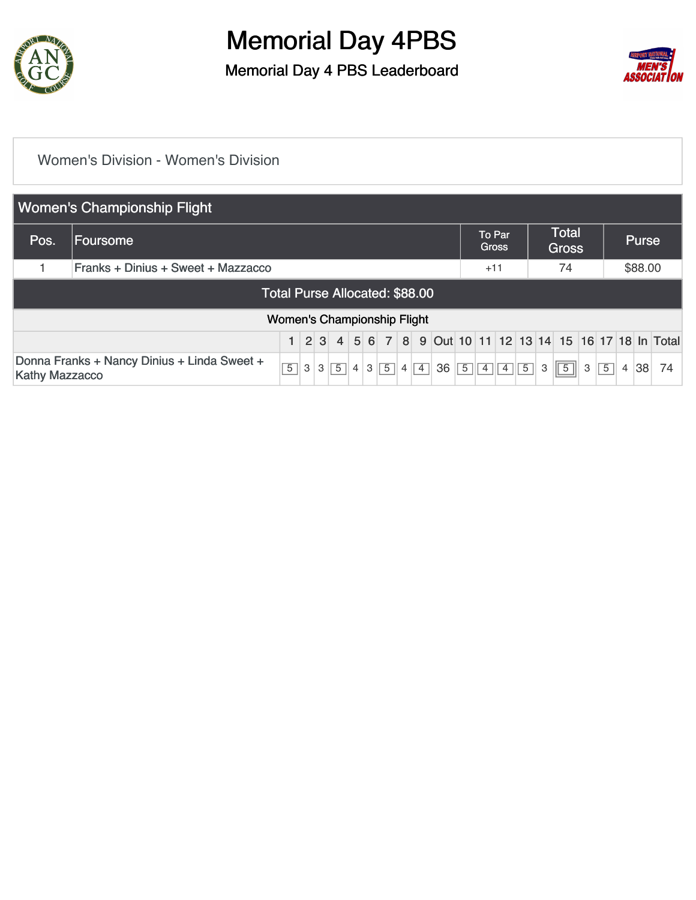

Memorial Day 4 PBS Leaderboard



#### [Women's Division - Women's Division](https://static.golfgenius.com/v2tournaments/8506370942375592773?called_from=&round_index=1)

|                                | <b>Women's Championship Flight</b>                                                                                                                                                                                                                    |                                    |  |  |  |  |  |  |  |  |  |  |                        |                |                |   |                              |   |                |                |              |    |
|--------------------------------|-------------------------------------------------------------------------------------------------------------------------------------------------------------------------------------------------------------------------------------------------------|------------------------------------|--|--|--|--|--|--|--|--|--|--|------------------------|----------------|----------------|---|------------------------------|---|----------------|----------------|--------------|----|
| Pos.                           | Foursome                                                                                                                                                                                                                                              |                                    |  |  |  |  |  |  |  |  |  |  | To Par<br><b>Gross</b> |                |                |   | <b>Total</b><br><b>Gross</b> |   |                |                | <b>Purse</b> |    |
|                                | Franks + Dinius + Sweet + Mazzacco                                                                                                                                                                                                                    |                                    |  |  |  |  |  |  |  |  |  |  |                        | $+11$          |                |   | 74                           |   |                |                | \$88.00      |    |
| Total Purse Allocated: \$88.00 |                                                                                                                                                                                                                                                       |                                    |  |  |  |  |  |  |  |  |  |  |                        |                |                |   |                              |   |                |                |              |    |
|                                |                                                                                                                                                                                                                                                       | <b>Women's Championship Flight</b> |  |  |  |  |  |  |  |  |  |  |                        |                |                |   |                              |   |                |                |              |    |
|                                |                                                                                                                                                                                                                                                       |                                    |  |  |  |  |  |  |  |  |  |  |                        |                |                |   |                              |   |                |                |              |    |
|                                | 1 2 3 4 5 6 7 8 9 0ut 10 11 12 13 14 15 16 17 18 In Total<br>Donna Franks + Nancy Dinius + Linda Sweet +<br>$\overline{5}$<br>$\overline{5}$<br>$\overline{4}$<br>36<br>$\overline{5}$<br>$\overline{4}$<br>3<br>3<br>3<br>4<br><b>Kathy Mazzacco</b> |                                    |  |  |  |  |  |  |  |  |  |  |                        | $\overline{4}$ | $\overline{5}$ | 3 | $\sqrt{5}$                   | 3 | $\overline{5}$ | $\overline{4}$ | 38           | 74 |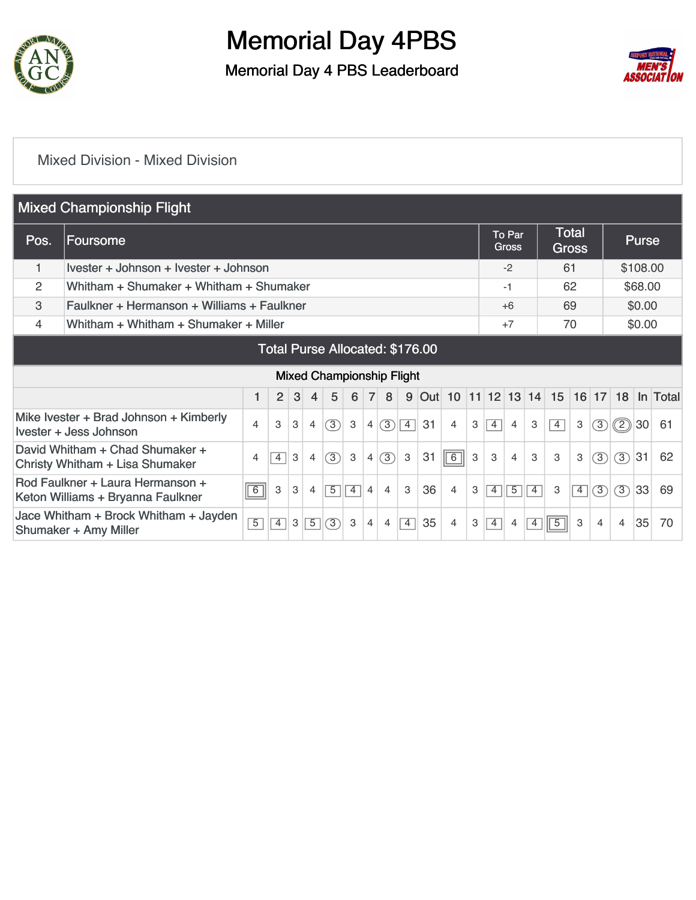

Memorial Day 4 PBS Leaderboard



#### [Mixed Division - Mixed Division](https://static.golfgenius.com/v2tournaments/8506371933539959622?called_from=&round_index=1)

|      | <b>Mixed Championship Flight</b>                                      |                |                |   |                |                                  |                |                |                |                |    |                    |   |                |                               |                |                |                              |               |                |              |          |
|------|-----------------------------------------------------------------------|----------------|----------------|---|----------------|----------------------------------|----------------|----------------|----------------|----------------|----|--------------------|---|----------------|-------------------------------|----------------|----------------|------------------------------|---------------|----------------|--------------|----------|
| Pos. | Foursome                                                              |                |                |   |                |                                  |                |                |                |                |    |                    |   |                | <b>To Par</b><br><b>Gross</b> |                |                | <b>Total</b><br><b>Gross</b> |               |                | <b>Purse</b> |          |
|      | Ivester + Johnson + Ivester + Johnson                                 |                |                |   |                |                                  |                |                |                |                |    |                    |   |                | $-2$                          |                | 61             |                              |               |                | \$108.00     |          |
| 2    | Whitham + Shumaker + Whitham + Shumaker                               |                |                |   |                |                                  |                |                |                |                |    |                    |   |                | -1                            |                |                | 62                           |               |                | \$68.00      |          |
| 3    | Faulkner + Hermanson + Williams + Faulkner                            |                |                |   |                |                                  |                |                |                |                |    |                    |   |                |                               |                | 69             |                              |               |                | \$0.00       |          |
| 4    | Whitham + Whitham + Shumaker + Miller                                 |                |                |   |                |                                  |                |                |                |                |    |                    |   |                |                               |                |                | 70                           |               |                | \$0.00       |          |
|      | Total Purse Allocated: \$176.00                                       |                |                |   |                |                                  |                |                |                |                |    |                    |   |                |                               |                |                |                              |               |                |              |          |
|      |                                                                       |                |                |   |                | <b>Mixed Championship Flight</b> |                |                |                |                |    |                    |   |                |                               |                |                |                              |               |                |              |          |
|      |                                                                       |                | 2              | 3 | $\overline{4}$ | 5                                | 6              | $\overline{7}$ | 8              | 9              |    | Out 10 11 12 13 14 |   |                |                               |                | 15             |                              |               | $16$ 17 18     |              | In Total |
|      | Mike Ivester + Brad Johnson + Kimberly<br>Ivester + Jess Johnson      | 4              | 3              | 3 | 4              | (3)                              | 3              | $\overline{4}$ | (3)            | $\overline{4}$ | 31 | $\overline{4}$     | 3 | $\overline{4}$ | $\overline{4}$                | 3              | $\overline{4}$ | 3                            | (3)           | (2)            | 30           | 61       |
|      | David Whitham + Chad Shumaker +<br>Christy Whitham + Lisa Shumaker    | 4              | $\overline{4}$ | 3 | 4              | 3                                | 3              | $\overline{4}$ | 3              | 3              | 31 | $\boxed{6}$        | 3 | 3              | 4                             | 3              | 3              | 3                            | 3             | $\circled{3}$  | 31           | 62       |
|      | Rod Faulkner + Laura Hermanson +<br>Keton Williams + Bryanna Faulkner | $\sqrt{6}$     | 3              | 3 | 4              | $\overline{5}$                   | $\overline{4}$ | 4              | $\overline{4}$ | 3              | 36 | $\overline{4}$     | 3 | $\overline{4}$ | $\overline{5}$                | $\overline{4}$ | 3              | $\overline{4}$               | $\circled{3}$ | $\circled{3}$  | 33           | 69       |
|      | Jace Whitham + Brock Whitham + Jayden<br>Shumaker + Amy Miller        | $\overline{5}$ | $\overline{4}$ | 3 | $\overline{5}$ | 3                                | 3              | 4              | $\overline{4}$ | $\overline{4}$ | 35 | $\overline{4}$     | 3 | $\overline{4}$ | $\overline{4}$                | $\overline{4}$ | $\overline{5}$ | 3                            | 4             | $\overline{4}$ | 35           | 70       |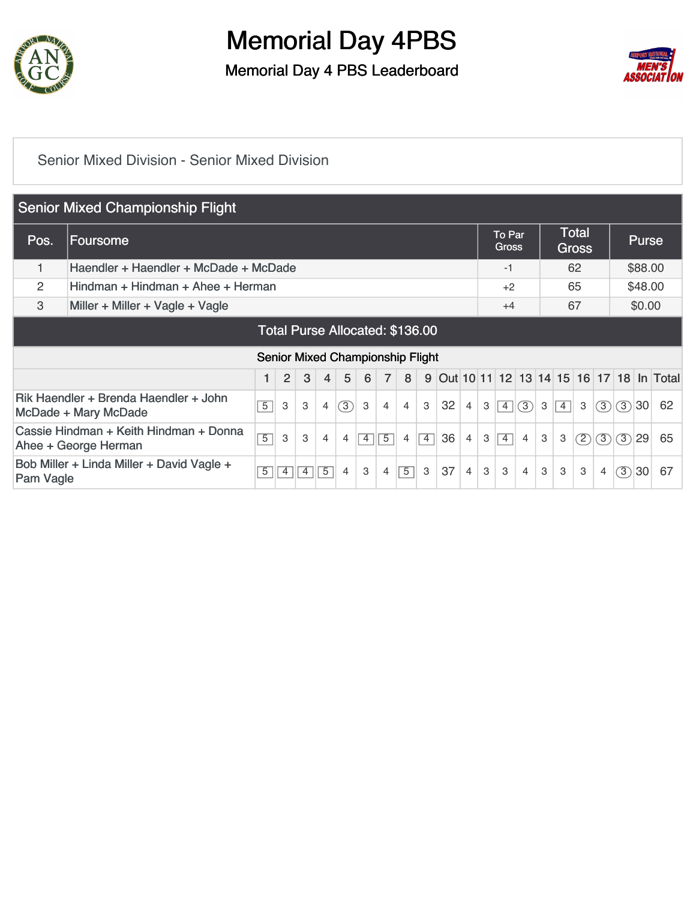

Memorial Day 4 PBS Leaderboard



#### [Senior Mixed Division - Senior Mixed Division](https://static.golfgenius.com/v2tournaments/8506372864172131143?called_from=&round_index=1)

|           | <b>Senior Mixed Championship Flight</b>                        |                |   |                |                |     |                                         |                |                |              |    |                |   |                        |                |   |                |                              |                |         |         |                                         |
|-----------|----------------------------------------------------------------|----------------|---|----------------|----------------|-----|-----------------------------------------|----------------|----------------|--------------|----|----------------|---|------------------------|----------------|---|----------------|------------------------------|----------------|---------|---------|-----------------------------------------|
| Pos.      | Foursome                                                       |                |   |                |                |     |                                         |                |                |              |    |                |   | To Par<br><b>Gross</b> |                |   |                | <b>Total</b><br><b>Gross</b> |                |         | Purse   |                                         |
|           | Haendler + Haendler + McDade + McDade                          |                |   |                |                |     |                                         |                |                |              |    |                |   | -1                     |                |   |                | 62                           |                |         | \$88.00 |                                         |
| 2         | Hindman + Hindman + Ahee + Herman                              |                |   |                |                |     |                                         |                |                |              |    |                |   |                        |                |   |                | 65                           |                |         | \$48.00 |                                         |
| 3         | Miller + Miller + Vagle + Vagle                                |                |   |                |                |     |                                         |                |                |              |    |                |   |                        |                |   |                | 67                           |                |         | \$0.00  |                                         |
|           | Total Purse Allocated: \$136.00                                |                |   |                |                |     |                                         |                |                |              |    |                |   |                        |                |   |                |                              |                |         |         |                                         |
|           |                                                                |                |   |                |                |     | <b>Senior Mixed Championship Flight</b> |                |                |              |    |                |   |                        |                |   |                |                              |                |         |         |                                         |
|           |                                                                |                | 2 | 3              | $\overline{4}$ | 5   | 6                                       | $\overline{7}$ | 8              | 9            |    |                |   |                        |                |   |                |                              |                |         |         | Out 10 11 12 13 14 15 16 17 18 In Total |
|           | Rik Haendler + Brenda Haendler + John<br>McDade + Mary McDade  | $\overline{5}$ | 3 | 3              | $\overline{4}$ | (3) | 3                                       | 4              | $\overline{4}$ | $\mathbf{3}$ | 32 | $\overline{4}$ | 3 | $\boxed{4}$            | (3)            | 3 | $\overline{4}$ | 3                            | (3)            |         | (3)30   | 62                                      |
|           | Cassie Hindman + Keith Hindman + Donna<br>Ahee + George Herman | $\overline{5}$ | 3 | 3              | $\overline{4}$ | 4   | $\overline{4}$                          | $\overline{5}$ | $\overline{4}$ | $\boxed{4}$  | 36 | $\overline{4}$ | 3 | $\vert 4 \vert$        | $\overline{4}$ | 3 | 3              | (2)                          | (3)            | $\circ$ | 29      | 65                                      |
| Pam Vagle | Bob Miller + Linda Miller + David Vagle +                      | $\overline{5}$ | 4 | $\overline{4}$ | $\overline{5}$ | 4   | 3                                       | 4              | $\overline{5}$ | 3            | 37 | $\overline{4}$ | 3 | 3                      | $\overline{4}$ | 3 | 3              | 3                            | $\overline{4}$ | (3)     | 30      | 67                                      |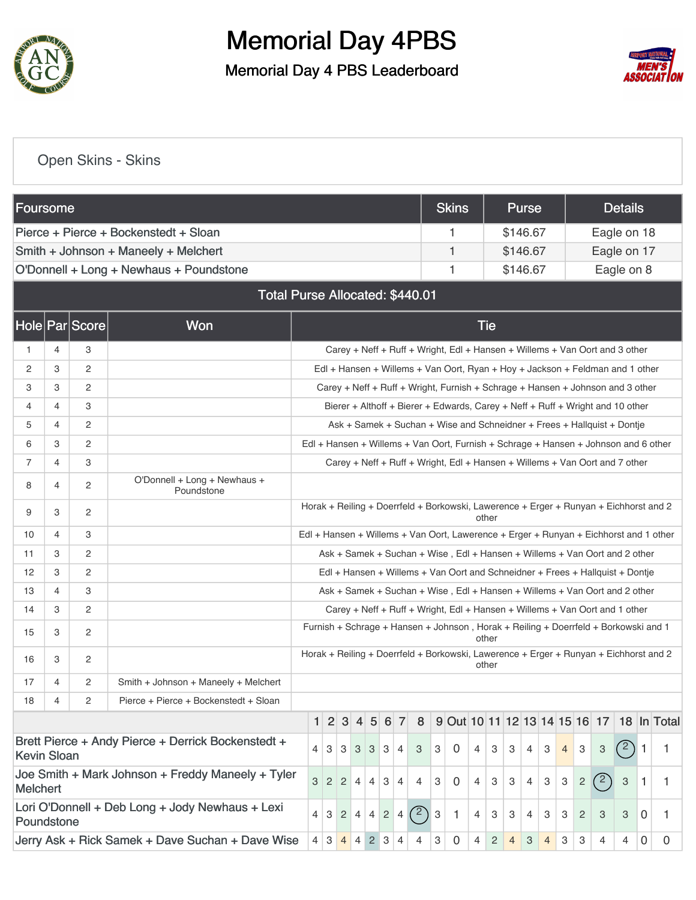

### Memorial Day 4PBS Memorial Day 4 PBS Leaderboard



#### [Open Skins - Skins](https://static.golfgenius.com/v2tournaments/8506373906641224520?called_from=&round_index=1)

| <b>Foursome</b>    |   |                |                                                    |                                                                             |   |                |                   |                |                 |            |                |     |   | <b>Skins</b>                                                                          |            |                | <b>Purse</b> |        |                |                |     | <b>Details</b> |                |             |
|--------------------|---|----------------|----------------------------------------------------|-----------------------------------------------------------------------------|---|----------------|-------------------|----------------|-----------------|------------|----------------|-----|---|---------------------------------------------------------------------------------------|------------|----------------|--------------|--------|----------------|----------------|-----|----------------|----------------|-------------|
|                    |   |                | Pierce + Pierce + Bockenstedt + Sloan              |                                                                             |   |                |                   |                |                 |            |                |     |   | 1                                                                                     |            |                | \$146.67     |        |                |                |     | Eagle on 18    |                |             |
|                    |   |                | Smith + Johnson + Maneely + Melchert               |                                                                             |   |                |                   |                |                 |            |                |     |   | 1                                                                                     |            |                | \$146.67     |        |                |                |     | Eagle on 17    |                |             |
|                    |   |                | O'Donnell + Long + Newhaus + Poundstone            |                                                                             |   |                |                   |                |                 |            |                |     |   | 1                                                                                     |            |                | \$146.67     |        |                |                |     | Eagle on 8     |                |             |
|                    |   |                | Total Purse Allocated: \$440.01                    |                                                                             |   |                |                   |                |                 |            |                |     |   |                                                                                       |            |                |              |        |                |                |     |                |                |             |
|                    |   | Hole Par Score | <b>Won</b>                                         |                                                                             |   |                |                   |                |                 |            |                |     |   |                                                                                       | <b>Tie</b> |                |              |        |                |                |     |                |                |             |
| 1                  | 4 | 3              |                                                    |                                                                             |   |                |                   |                |                 |            |                |     |   | Carey + Neff + Ruff + Wright, Edl + Hansen + Willems + Van Oort and 3 other           |            |                |              |        |                |                |     |                |                |             |
| 2                  | 3 | $\overline{c}$ |                                                    |                                                                             |   |                |                   |                |                 |            |                |     |   | Edl + Hansen + Willems + Van Oort, Ryan + Hoy + Jackson + Feldman and 1 other         |            |                |              |        |                |                |     |                |                |             |
| 3                  | 3 | $\overline{c}$ |                                                    |                                                                             |   |                |                   |                |                 |            |                |     |   | Carey + Neff + Ruff + Wright, Furnish + Schrage + Hansen + Johnson and 3 other        |            |                |              |        |                |                |     |                |                |             |
| 4                  | 4 | 3              |                                                    |                                                                             |   |                |                   |                |                 |            |                |     |   | Bierer + Althoff + Bierer + Edwards, Carey + Neff + Ruff + Wright and 10 other        |            |                |              |        |                |                |     |                |                |             |
| 5                  | 4 | $\overline{c}$ |                                                    |                                                                             |   |                |                   |                |                 |            |                |     |   | Ask + Samek + Suchan + Wise and Schneidner + Frees + Hallquist + Dontje               |            |                |              |        |                |                |     |                |                |             |
| 6                  | 3 | $\overline{c}$ |                                                    |                                                                             |   |                |                   |                |                 |            |                |     |   | Edl + Hansen + Willems + Van Oort, Furnish + Schrage + Hansen + Johnson and 6 other   |            |                |              |        |                |                |     |                |                |             |
| 7                  | 4 | 3              |                                                    | Carey + Neff + Ruff + Wright, Edl + Hansen + Willems + Van Oort and 7 other |   |                |                   |                |                 |            |                |     |   |                                                                                       |            |                |              |        |                |                |     |                |                |             |
| 8                  | 4 | 2              | O'Donnell + Long + Newhaus +<br>Poundstone         |                                                                             |   |                |                   |                |                 |            |                |     |   |                                                                                       |            |                |              |        |                |                |     |                |                |             |
| 9                  | 3 | $\overline{c}$ |                                                    |                                                                             |   |                |                   |                |                 |            |                |     |   | Horak + Reiling + Doerrfeld + Borkowski, Lawerence + Erger + Runyan + Eichhorst and 2 | other      |                |              |        |                |                |     |                |                |             |
| 10                 | 4 | 3              |                                                    |                                                                             |   |                |                   |                |                 |            |                |     |   | Edl + Hansen + Willems + Van Oort, Lawerence + Erger + Runyan + Eichhorst and 1 other |            |                |              |        |                |                |     |                |                |             |
| 11                 | 3 | $\overline{c}$ |                                                    |                                                                             |   |                |                   |                |                 |            |                |     |   | Ask + Samek + Suchan + Wise, Edl + Hansen + Willems + Van Oort and 2 other            |            |                |              |        |                |                |     |                |                |             |
| 12                 | 3 | 2              |                                                    |                                                                             |   |                |                   |                |                 |            |                |     |   | Edl + Hansen + Willems + Van Oort and Schneidner + Frees + Hallquist + Dontje         |            |                |              |        |                |                |     |                |                |             |
| 13                 | 4 | 3              |                                                    |                                                                             |   |                |                   |                |                 |            |                |     |   | Ask + Samek + Suchan + Wise, Edl + Hansen + Willems + Van Oort and 2 other            |            |                |              |        |                |                |     |                |                |             |
| 14                 | 3 | 2              |                                                    |                                                                             |   |                |                   |                |                 |            |                |     |   | Carey + Neff + Ruff + Wright, Edl + Hansen + Willems + Van Oort and 1 other           |            |                |              |        |                |                |     |                |                |             |
| 15                 | 3 | 2              |                                                    |                                                                             |   |                |                   |                |                 |            |                |     |   | Furnish + Schrage + Hansen + Johnson, Horak + Reiling + Doerrfeld + Borkowski and 1   | other      |                |              |        |                |                |     |                |                |             |
| 16                 | 3 | 2              |                                                    |                                                                             |   |                |                   |                |                 |            |                |     |   | Horak + Reiling + Doerrfeld + Borkowski, Lawerence + Erger + Runyan + Eichhorst and 2 | other      |                |              |        |                |                |     |                |                |             |
| 17                 | 4 | 2              | Smith + Johnson + Maneely + Melchert               |                                                                             |   |                |                   |                |                 |            |                |     |   |                                                                                       |            |                |              |        |                |                |     |                |                |             |
| 18                 | 4 | $\overline{c}$ | Pierce + Pierce + Bockenstedt + Sloan              |                                                                             |   |                |                   |                |                 |            |                |     |   |                                                                                       |            |                |              |        |                |                |     |                |                |             |
|                    |   |                |                                                    |                                                                             | 1 | $\vert$ 2      | $\mathbf{3}$      | 4              | $\overline{5}$  | $6 \mid$   | $\overline{7}$ | 8   |   | 9 Out 10 11 12 13 14 15 16 17                                                         |            |                |              |        |                |                |     |                |                | 18 In Total |
| <b>Kevin Sloan</b> |   |                | Brett Pierce + Andy Pierce + Derrick Bockenstedt + |                                                                             | 4 | $\mathbf{3}$   | $3 \mid 3 \mid$   |                | $3 \mid 3 \mid$ |            | $\overline{4}$ | 3   | 3 | 0                                                                                     | 4          | 3              | 3            | 3<br>4 | $\overline{4}$ | 3              | 3   | (2)            | 1              | 1           |
| <b>Melchert</b>    |   |                | Joe Smith + Mark Johnson + Freddy Maneely + Tyler  |                                                                             | 3 | $\overline{2}$ | $\vert 2 \vert$   | $\overline{4}$ | $\overline{4}$  | 3          | $\overline{4}$ | 4   | 3 | 0                                                                                     | 4          | 3              | 3            | 3<br>4 | 3              | $\overline{c}$ | (2` | 3              | 1              | 1.          |
| Poundstone         |   |                | Lori O'Donnell + Deb Long + Jody Newhaus + Lexi    |                                                                             | 4 |                | $3 \mid 2 \mid 4$ |                | $\overline{4}$  | $\sqrt{2}$ | 4              | (2) | 3 | 1                                                                                     | 4          | 3              | 3            | 3<br>4 | З              | $\overline{2}$ | 3   | 3              | $\overline{0}$ | 1           |
|                    |   |                | Jerry Ask + Rick Samek + Dave Suchan + Dave Wise   |                                                                             | 4 | 3              | $4 \mid 4$        |                | $2 \mid 3$      |            | $\overline{4}$ | 4   | 3 | 0                                                                                     | 4          | $\overline{c}$ | 4            | 3<br>4 | 3              | 3              | 4   | 4              | 0              | 0           |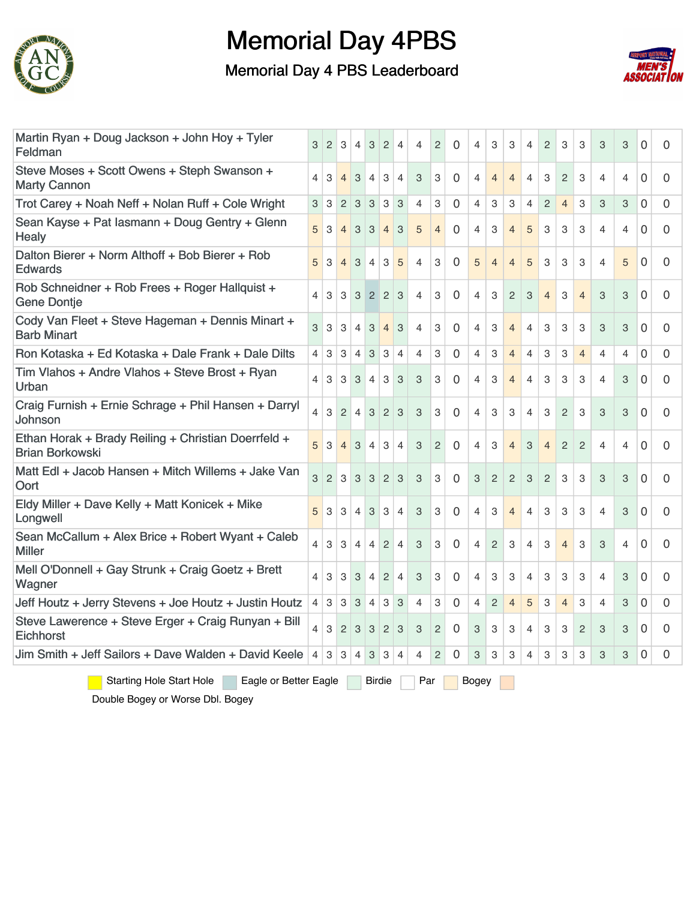

Memorial Day 4 PBS Leaderboard



| Martin Ryan + Doug Jackson + John Hoy + Tyler<br>Feldman                      | 3              | $\overline{2}$ | 3              | $\overline{4}$ | 3                         | $\overline{2}$ | $\overline{4}$ | 4              | $\overline{2}$ | $\Omega$       | 4              | 3              | 3              | 4                       | $\overline{2}$ | 3              | 3              | 3              | 3              | $\Omega$       | 0            |
|-------------------------------------------------------------------------------|----------------|----------------|----------------|----------------|---------------------------|----------------|----------------|----------------|----------------|----------------|----------------|----------------|----------------|-------------------------|----------------|----------------|----------------|----------------|----------------|----------------|--------------|
| Steve Moses + Scott Owens + Steph Swanson +<br><b>Marty Cannon</b>            | 4              | 3              | $\overline{4}$ | $\mathbf{3}$   | $\overline{4}$            | 3              | $\overline{4}$ | 3              | 3              | 0              | 4              | $\overline{4}$ | $\overline{4}$ | $\overline{4}$          | 3              | $\overline{2}$ | 3              | 4              | $\overline{4}$ | $\Omega$       | 0            |
| Trot Carey + Noah Neff + Nolan Ruff + Cole Wright                             | 3              | $\mathbf{3}$   | $\overline{2}$ | $\overline{3}$ | $\ensuremath{\mathsf{3}}$ | 3              | 3              | 4              | 3              | $\overline{0}$ | 4              | 3              | 3              | $\overline{4}$          | $\overline{2}$ | $\overline{4}$ | 3              | 3              | 3              | $\overline{0}$ | 0            |
| Sean Kayse + Pat lasmann + Doug Gentry + Glenn<br><b>Healy</b>                | 5              | 3              | $\overline{4}$ | $\mathbf{3}$   | $\overline{3}$            | $\overline{4}$ | 3              | 5              | 4              | $\Omega$       | $\overline{4}$ | 3              | $\overline{4}$ | 5                       | 3              | 3              | 3              | 4              | $\overline{4}$ | $\Omega$       | 0            |
| Dalton Bierer + Norm Althoff + Bob Bierer + Rob<br><b>Edwards</b>             | 5              | 3              | $\overline{4}$ | 3              | $\overline{4}$            | 3              | 5              | 4              | 3              | $\Omega$       | 5              | $\overline{4}$ | $\overline{4}$ | 5                       | 3              | 3              | 3              | 4              | 5              | $\Omega$       | 0            |
| Rob Schneidner + Rob Frees + Roger Hallquist +<br><b>Gene Dontje</b>          | 4              | 3              | 3              | 3              | $\overline{2}$            | $\overline{2}$ | 3              | 4              | 3              | $\Omega$       | $\overline{4}$ | 3              | $\overline{2}$ | 3                       | $\overline{4}$ | 3              | $\overline{4}$ | 3              | 3              | $\Omega$       | 0            |
| Cody Van Fleet + Steve Hageman + Dennis Minart +<br><b>Barb Minart</b>        | 3              | 3              | 3              | $\overline{4}$ | 3                         | $\overline{4}$ | 3              | $\overline{4}$ | 3              | $\Omega$       | 4              | 3              | $\overline{4}$ | 4                       | 3              | 3              | 3              | 3              | 3              | $\Omega$       | 0            |
| Ron Kotaska + Ed Kotaska + Dale Frank + Dale Dilts                            | $\overline{4}$ | 3              | 3              | $\overline{4}$ | 3                         | 3              | $\overline{4}$ | $\overline{4}$ | 3              | $\overline{0}$ | $\overline{4}$ | 3              | $\overline{4}$ | 4                       | 3              | 3              | $\overline{4}$ | $\overline{4}$ | $\overline{4}$ | $\overline{0}$ | 0            |
| Tim Vlahos + Andre Vlahos + Steve Brost + Ryan<br>Urban                       | 4              | 3              | 3              | 3              | $\overline{4}$            | 3              | 3              | 3              | 3              | 0              | 4              | 3              | 4              | 4                       | 3              | 3              | 3              | $\overline{4}$ | 3              | 0              | 0            |
| Craig Furnish + Ernie Schrage + Phil Hansen + Darryl<br>Johnson               | 4              | 3              | $\overline{2}$ | $\overline{4}$ | 3                         | 2              | 3              | 3              | 3              | $\Omega$       | $\overline{4}$ | 3              | 3              | $\overline{4}$          | 3              | $\overline{2}$ | 3              | 3              | 3              | $\overline{0}$ | 0            |
| Ethan Horak + Brady Reiling + Christian Doerrfeld +<br><b>Brian Borkowski</b> | 5              | 3              | $\overline{4}$ | 3              | $\overline{4}$            | 3              | $\overline{4}$ | 3              | $\overline{2}$ | $\Omega$       | 4              | 3              | $\overline{4}$ | 3                       | $\overline{4}$ | $\overline{2}$ | $\overline{2}$ | 4              | $\overline{4}$ | $\overline{0}$ | $\Omega$     |
| Matt Edl + Jacob Hansen + Mitch Willems + Jake Van<br>Oort                    | 3              | $\overline{2}$ | $\mathbf{3}$   | 3              | 3                         | 2              | 3              | 3              | 3              | $\Omega$       | 3              | $\overline{2}$ | $\overline{2}$ | 3                       | $\overline{2}$ | 3              | 3              | 3              | 3              | $\Omega$       | $\mathbf{0}$ |
| Eldy Miller + Dave Kelly + Matt Konicek + Mike<br>Longwell                    | 5              | 3              | 3              | $\overline{4}$ | $\ensuremath{\mathsf{3}}$ | 3              | $\overline{4}$ | 3              | 3              | 0              | 4              | 3              | $\overline{4}$ | 4                       | 3              | 3              | 3              | 4              | 3              | 0              | 0            |
| Sean McCallum + Alex Brice + Robert Wyant + Caleb<br><b>Miller</b>            | 4              | 3              | 3              | $\overline{4}$ | $\overline{4}$            | $\overline{2}$ | $\overline{4}$ | 3              | 3              | $\Omega$       | 4              | 2              | 3              | $\overline{\mathbf{4}}$ | 3              | $\overline{4}$ | 3              | 3              | $\overline{4}$ | $\Omega$       | $\Omega$     |
| Mell O'Donnell + Gay Strunk + Craig Goetz + Brett<br>Wagner                   | 4              | 3              | 3              | 3              | $\overline{4}$            | 2              | $\overline{4}$ | 3              | 3              | 0              | 4              | 3              | 3              | 4                       | 3              | 3              | 3              | $\overline{4}$ | 3              | $\Omega$       | 0            |
| Jeff Houtz + Jerry Stevens + Joe Houtz + Justin Houtz                         | $\overline{4}$ | 3              | 3              | 3              | 4                         | 3              | 3              | 4              | 3              | $\Omega$       | $\overline{4}$ | $\overline{c}$ | $\overline{4}$ | 5                       | 3              | $\overline{4}$ | 3              | $\overline{4}$ | 3              | $\overline{0}$ | 0            |
| Steve Lawerence + Steve Erger + Craig Runyan + Bill<br>Eichhorst              | 4              | $\mathbf 3$    | $2 \mid 3$     |                | $\ensuremath{\mathsf{3}}$ | $\overline{2}$ | 3              | 3              | $\overline{c}$ | $\Omega$       | 3              | 3              | 3              | 4                       | 3              | 3              | $\overline{2}$ | 3              | 3              | $\Omega$       | 0            |
| Jim Smith + Jeff Sailors + Dave Walden + David Keele                          | 4              | 3              | 3              | $\overline{4}$ | 3                         | 3              | $\overline{4}$ | 4              | $\overline{2}$ | $\Omega$       | 3              | 3              | 3              | 4                       | 3              | 3              | 3              | 3              | 3              | $\overline{0}$ | 0            |

Starting Hole Start Hole Eagle or Better Eagle Birdie Par Bogey

Double Bogey or Worse Dbl. Bogey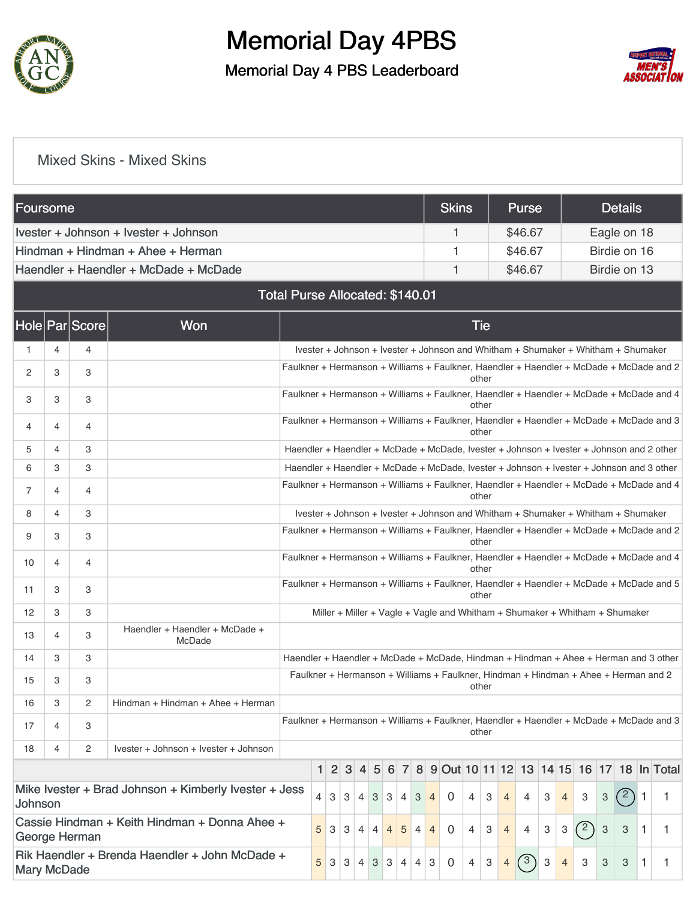

### Memorial Day 4PBS Memorial Day 4 PBS Leaderboard



#### [Mixed Skins - Mixed Skins](https://static.golfgenius.com/v2tournaments/8506376322291893067?called_from=&round_index=1)

| Foursome                              |   |                |                                                       |                                                                                                                                                                                                                               |                |     |  |                |   |          |   |             |   | <b>Skins</b>                                                                        |       |                |                | Purse          |              |                |   |   | <b>Details</b> |  |                                               |
|---------------------------------------|---|----------------|-------------------------------------------------------|-------------------------------------------------------------------------------------------------------------------------------------------------------------------------------------------------------------------------------|----------------|-----|--|----------------|---|----------|---|-------------|---|-------------------------------------------------------------------------------------|-------|----------------|----------------|----------------|--------------|----------------|---|---|----------------|--|-----------------------------------------------|
| Ivester + Johnson + Ivester + Johnson |   |                |                                                       |                                                                                                                                                                                                                               |                |     |  | 1              |   |          |   | \$46.67     |   |                                                                                     |       |                | Eagle on 18    |                |              |                |   |   |                |  |                                               |
|                                       |   |                | Hindman + Hindman + Ahee + Herman                     |                                                                                                                                                                                                                               |                |     |  |                |   |          |   |             |   | 1                                                                                   |       |                |                | \$46.67        |              |                |   |   | Birdie on 16   |  |                                               |
|                                       |   |                | Haendler + Haendler + McDade + McDade                 |                                                                                                                                                                                                                               |                |     |  |                |   |          |   |             |   | 1                                                                                   |       |                |                | \$46.67        |              |                |   |   | Birdie on 13   |  |                                               |
| Total Purse Allocated: \$140.01       |   |                |                                                       |                                                                                                                                                                                                                               |                |     |  |                |   |          |   |             |   |                                                                                     |       |                |                |                |              |                |   |   |                |  |                                               |
|                                       |   | Hole Par Score | Won                                                   | <b>Tie</b>                                                                                                                                                                                                                    |                |     |  |                |   |          |   |             |   |                                                                                     |       |                |                |                |              |                |   |   |                |  |                                               |
|                                       | 4 | 4              |                                                       |                                                                                                                                                                                                                               |                |     |  |                |   |          |   |             |   | Ivester + Johnson + Ivester + Johnson and Whitham + Shumaker + Whitham + Shumaker   |       |                |                |                |              |                |   |   |                |  |                                               |
| 2                                     | 3 | 3              |                                                       | Faulkner + Hermanson + Williams + Faulkner, Haendler + Haendler + McDade + McDade and 2                                                                                                                                       |                |     |  |                |   |          |   |             |   |                                                                                     | other |                |                |                |              |                |   |   |                |  |                                               |
| 3                                     | 3 | 3              |                                                       | Faulkner + Hermanson + Williams + Faulkner, Haendler + Haendler + McDade + McDade and 4                                                                                                                                       |                |     |  |                |   |          |   |             |   |                                                                                     | other |                |                |                |              |                |   |   |                |  |                                               |
| 4                                     | 4 | 4              |                                                       | Faulkner + Hermanson + Williams + Faulkner, Haendler + Haendler + McDade + McDade and 3                                                                                                                                       |                |     |  |                |   |          |   |             |   |                                                                                     | other |                |                |                |              |                |   |   |                |  |                                               |
| 5                                     | 4 | 3              |                                                       | Haendler + Haendler + McDade + McDade, Ivester + Johnson + Ivester + Johnson and 2 other                                                                                                                                      |                |     |  |                |   |          |   |             |   |                                                                                     |       |                |                |                |              |                |   |   |                |  |                                               |
| 6                                     | 3 | 3              |                                                       | Haendler + Haendler + McDade + McDade, Ivester + Johnson + Ivester + Johnson and 3 other                                                                                                                                      |                |     |  |                |   |          |   |             |   |                                                                                     |       |                |                |                |              |                |   |   |                |  |                                               |
| 7                                     | 4 | 4              |                                                       | Faulkner + Hermanson + Williams + Faulkner, Haendler + Haendler + McDade + McDade and 4<br>other                                                                                                                              |                |     |  |                |   |          |   |             |   |                                                                                     |       |                |                |                |              |                |   |   |                |  |                                               |
| 8                                     | 4 | 3              |                                                       | Ivester + Johnson + Ivester + Johnson and Whitham + Shumaker + Whitham + Shumaker                                                                                                                                             |                |     |  |                |   |          |   |             |   |                                                                                     |       |                |                |                |              |                |   |   |                |  |                                               |
| 9                                     | 3 | 3              |                                                       | Faulkner + Hermanson + Williams + Faulkner, Haendler + Haendler + McDade + McDade and 2<br>other                                                                                                                              |                |     |  |                |   |          |   |             |   |                                                                                     |       |                |                |                |              |                |   |   |                |  |                                               |
| 10                                    | 4 | 4              |                                                       | Faulkner + Hermanson + Williams + Faulkner, Haendler + Haendler + McDade + McDade and 4<br>other                                                                                                                              |                |     |  |                |   |          |   |             |   |                                                                                     |       |                |                |                |              |                |   |   |                |  |                                               |
| 11                                    | 3 | 3              |                                                       | Faulkner + Hermanson + Williams + Faulkner, Haendler + Haendler + McDade + McDade and 5<br>other                                                                                                                              |                |     |  |                |   |          |   |             |   |                                                                                     |       |                |                |                |              |                |   |   |                |  |                                               |
| 12                                    | 3 | 3              |                                                       |                                                                                                                                                                                                                               |                |     |  |                |   |          |   |             |   | Miller + Miller + Vagle + Vagle and Whitham + Shumaker + Whitham + Shumaker         |       |                |                |                |              |                |   |   |                |  |                                               |
| 13                                    | 4 | 3              | Haendler + Haendler + McDade +<br>McDade              |                                                                                                                                                                                                                               |                |     |  |                |   |          |   |             |   |                                                                                     |       |                |                |                |              |                |   |   |                |  |                                               |
| 14                                    | 3 | 3              |                                                       | Haendler + Haendler + McDade + McDade, Hindman + Hindman + Ahee + Herman and 3 other                                                                                                                                          |                |     |  |                |   |          |   |             |   |                                                                                     |       |                |                |                |              |                |   |   |                |  |                                               |
| 15                                    | 3 | 3              |                                                       |                                                                                                                                                                                                                               |                |     |  |                |   |          |   |             |   | Faulkner + Hermanson + Williams + Faulkner, Hindman + Hindman + Ahee + Herman and 2 | other |                |                |                |              |                |   |   |                |  |                                               |
| 16                                    | 3 | 2              | Hindman + Hindman + Ahee + Herman                     |                                                                                                                                                                                                                               |                |     |  |                |   |          |   |             |   |                                                                                     |       |                |                |                |              |                |   |   |                |  |                                               |
| 17                                    | 4 | 3              |                                                       | Faulkner + Hermanson + Williams + Faulkner, Haendler + Haendler + McDade + McDade and 3                                                                                                                                       |                |     |  |                |   |          |   |             |   |                                                                                     | other |                |                |                |              |                |   |   |                |  |                                               |
| 18                                    | 4 | 2              | Ivester + Johnson + Ivester + Johnson                 |                                                                                                                                                                                                                               |                |     |  |                |   |          |   |             |   |                                                                                     |       |                |                |                |              |                |   |   |                |  |                                               |
|                                       |   |                |                                                       |                                                                                                                                                                                                                               | 1 <sup>1</sup> | 2 3 |  | $\overline{4}$ | 5 | $6 \mid$ |   |             |   |                                                                                     |       |                |                |                |              |                |   |   |                |  | 7 8 9 0ut 10 11 12 13 14 15 16 17 18 In Total |
| Johnson                               |   |                | Mike Ivester + Brad Johnson + Kimberly Ivester + Jess | 4<br>3 <sup>1</sup><br>3<br>$\overline{4}$<br>3 <sup>5</sup><br>$\sqrt{3}$<br>3<br>$\overline{4}$                                                                                                                             |                |     |  |                |   | 4        | 0 | 4           | 3 | $\overline{4}$                                                                      | 4     | 3              | $\overline{4}$ | 3              | $\mathbf{3}$ | $^{\prime}$ 2) | 1 | 1 |                |  |                                               |
|                                       |   | George Herman  | Cassie Hindman + Keith Hindman + Donna Ahee +         | (2)<br>$\ensuremath{\mathsf{3}}$<br>5<br>5<br>$\overline{0}$<br>4<br>3<br>3<br>$\mathbf 3$<br>3<br>3<br>$\overline{4}$<br>$\overline{4}$<br>$\overline{4}$<br>$\overline{4}$<br>4<br>3<br>$\mathbf{1}$<br>$\overline{4}$<br>4 |                |     |  |                |   |          |   |             |   |                                                                                     |       |                |                |                |              |                |   |   |                |  |                                               |
| <b>Mary McDade</b>                    |   |                | Rik Haendler + Brenda Haendler + John McDade +        | 5<br>3<br>З<br>3<br>$\overline{4}$<br>3<br>$\overline{4}$                                                                                                                                                                     |                |     |  |                |   | 4        | 3 | $\mathbf 0$ | 4 | 3                                                                                   | 4     | $\binom{3}{ }$ | 3              | $\overline{4}$ | З            | 3              | 3 | 1 |                |  |                                               |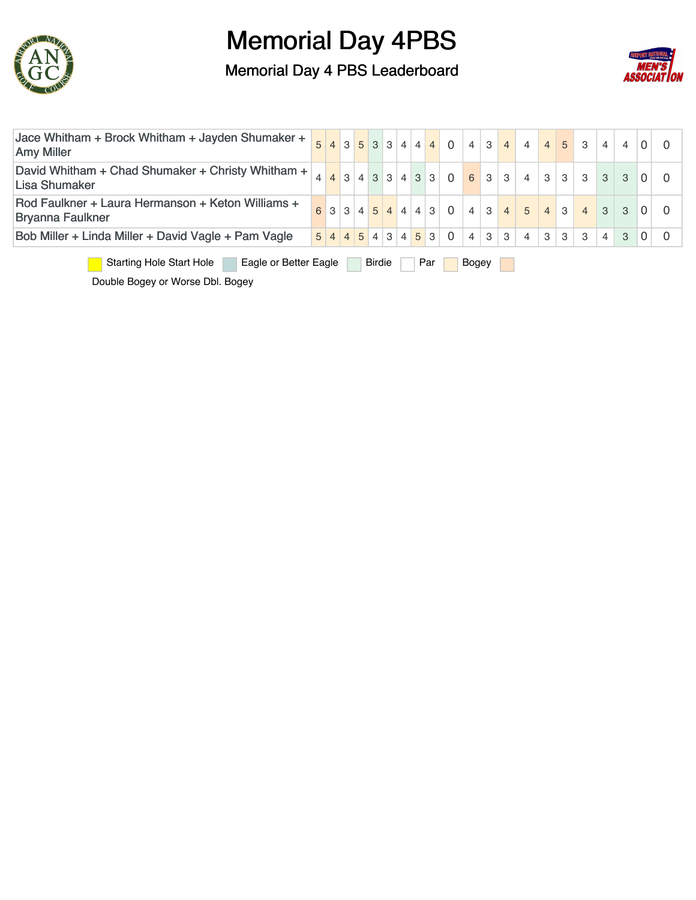

Memorial Day 4 PBS Leaderboard



| Jace Whitham + Brock Whitham + Jayden Shumaker +<br><b>Amy Miller</b>                     |  |  |  |  |  |  |  |  |                     | $5$ 4 3 5 3 3 4 4 4 0 4 3 4 4 5 3           |                |              |   |                 |                |                         |                   | $\overline{4}$ |               |          |  |
|-------------------------------------------------------------------------------------------|--|--|--|--|--|--|--|--|---------------------|---------------------------------------------|----------------|--------------|---|-----------------|----------------|-------------------------|-------------------|----------------|---------------|----------|--|
| David Whitham + Chad Shumaker + Christy Whitham +<br>Lisa Shumaker                        |  |  |  |  |  |  |  |  |                     | $4$ $3$ $3$ $4$ $3$ $3$ $4$ $3$ $3$ 0 6 3 3 |                |              |   | 4               |                |                         | $3 \mid 3 \mid 3$ | $\mathbf{3}$   | $\mathcal{S}$ |          |  |
| Rod Faulkner + Laura Hermanson + Keton Williams +<br><b>Bryanna Faulkner</b>              |  |  |  |  |  |  |  |  |                     | 6 3 3 4 5 4 4 3 0                           |                | 4 3          |   | $4 \mid 5 \mid$ |                | $\vert 4 \vert 3 \vert$ | $\overline{4}$    | $\mathcal{S}$  | 3             |          |  |
| Bob Miller + Linda Miller + David Vagle + Pam Vagle                                       |  |  |  |  |  |  |  |  | $5$ 4 4 5 4 3 4 5 3 | $\Omega$                                    | $\overline{4}$ | $\mathbf{3}$ | 3 | $\overline{4}$  | 3 <sup>1</sup> | 3                       | $\mathbf{3}$      | $\overline{4}$ | 3             | $\Omega$ |  |
| <b>Starting Hole Start Hole</b><br>Eagle or Better Eagle<br><b>Birdie</b><br>Par<br>Bogey |  |  |  |  |  |  |  |  |                     |                                             |                |              |   |                 |                |                         |                   |                |               |          |  |

Double Bogey or Worse Dbl. Bogey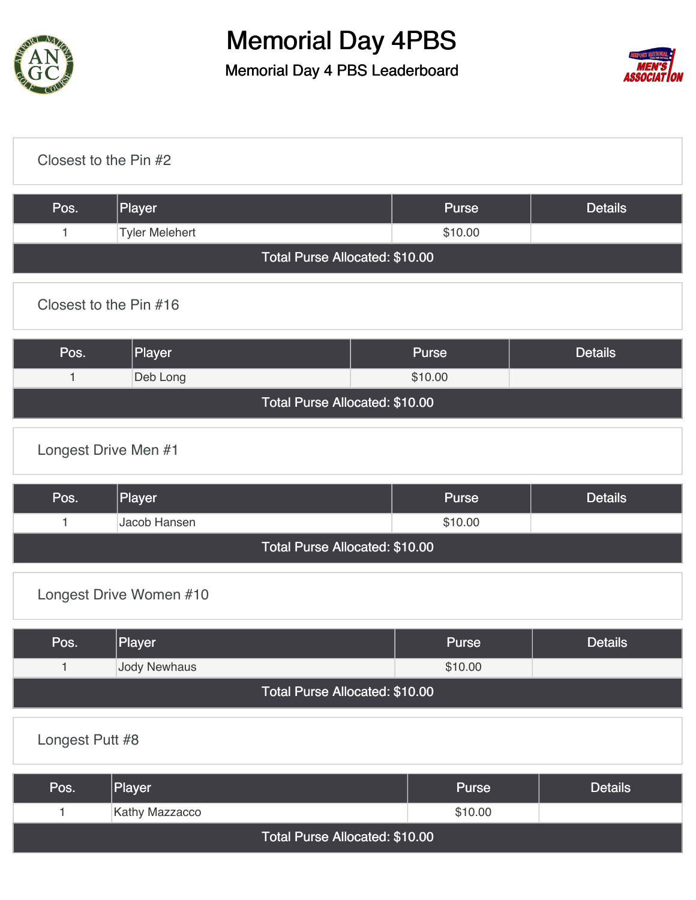

Memorial Day 4 PBS Leaderboard



| Closest to the Pin #2 |                                |                                |         |                |  |  |  |  |  |
|-----------------------|--------------------------------|--------------------------------|---------|----------------|--|--|--|--|--|
| Pos.                  | Player                         |                                | Purse   | <b>Details</b> |  |  |  |  |  |
| $\mathbf{1}$          | <b>Tyler Melehert</b>          |                                | \$10.00 |                |  |  |  |  |  |
|                       | Total Purse Allocated: \$10.00 |                                |         |                |  |  |  |  |  |
|                       | Closest to the Pin #16         |                                |         |                |  |  |  |  |  |
| Pos.                  | Player                         |                                | Purse   | <b>Details</b> |  |  |  |  |  |
| 1                     | Deb Long                       |                                | \$10.00 |                |  |  |  |  |  |
|                       |                                | Total Purse Allocated: \$10.00 |         |                |  |  |  |  |  |
| Longest Drive Men #1  |                                |                                |         |                |  |  |  |  |  |
| Pos.                  | Player                         |                                | Purse   | <b>Details</b> |  |  |  |  |  |

|                                | Jacob Hansen_ | \$10.00 |  |  |  |  |  |  |  |
|--------------------------------|---------------|---------|--|--|--|--|--|--|--|
| Total Purse Allocated: \$10.00 |               |         |  |  |  |  |  |  |  |

#### [Longest Drive Women #10](https://static.golfgenius.com/v2tournaments/8506378833539138383?called_from=&round_index=1)

| Pos.                           | Player       | <b>Purse</b> | <b>Details</b> |  |  |  |  |  |  |  |
|--------------------------------|--------------|--------------|----------------|--|--|--|--|--|--|--|
|                                | Jody Newhaus | \$10.00      |                |  |  |  |  |  |  |  |
| Total Purse Allocated: \$10.00 |              |              |                |  |  |  |  |  |  |  |

#### [Longest Putt #8](https://static.golfgenius.com/v2tournaments/8506379162875888464?called_from=&round_index=1)

| Pos.                           | Player         | <b>Purse</b> | <b>Details</b> |  |  |  |  |  |
|--------------------------------|----------------|--------------|----------------|--|--|--|--|--|
|                                | Kathy Mazzacco | \$10.00      |                |  |  |  |  |  |
| Total Purse Allocated: \$10.00 |                |              |                |  |  |  |  |  |